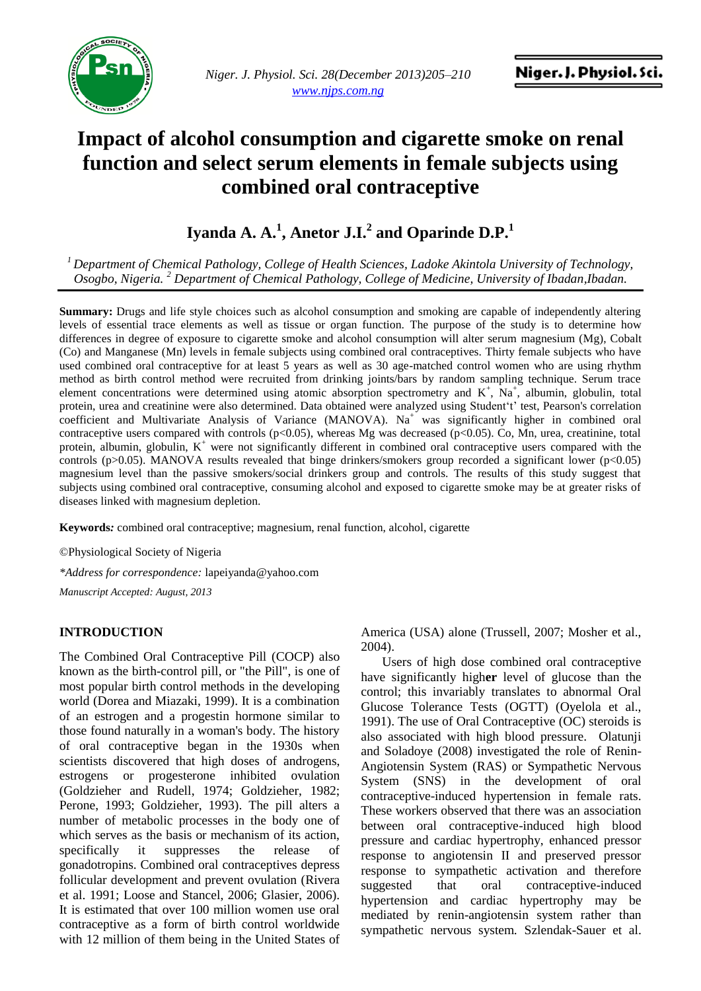

*Niger. J. Physiol. Sci. 28(December 2013)205–210 www.njps.com.ng*

# **Impact of alcohol consumption and cigarette smoke on renal function and select serum elements in female subjects using combined oral contraceptive**

**Iyanda A. A.<sup>1</sup> , Anetor J.I.<sup>2</sup> and Oparinde D.P.<sup>1</sup>**

*<sup>1</sup>Department of Chemical Pathology, College of Health Sciences, Ladoke Akintola University of Technology, Osogbo, Nigeria. <sup>2</sup> Department of Chemical Pathology, College of Medicine, University of Ibadan,Ibadan.*

**Summary:** Drugs and life style choices such as alcohol consumption and smoking are capable of independently altering levels of essential trace elements as well as tissue or organ function. The purpose of the study is to determine how differences in degree of exposure to cigarette smoke and alcohol consumption will alter serum magnesium (Mg), Cobalt (Co) and Manganese (Mn) levels in female subjects using combined oral contraceptives. Thirty female subjects who have used combined oral contraceptive for at least 5 years as well as 30 age-matched control women who are using rhythm method as birth control method were recruited from drinking joints/bars by random sampling technique. Serum trace element concentrations were determined using atomic absorption spectrometry and  $K^+$ ,  $Na^+$ , albumin, globulin, total protein, urea and creatinine were also determined. Data obtained were analyzed using Student't' test, Pearson's correlation coefficient and Multivariate Analysis of Variance (MANOVA). Na<sup>+</sup> was significantly higher in combined oral contraceptive users compared with controls (p<0.05), whereas Mg was decreased (p<0.05). Co, Mn, urea, creatinine, total protein, albumin, globulin,  $K^+$  were not significantly different in combined oral contraceptive users compared with the controls (p>0.05). MANOVA results revealed that binge drinkers/smokers group recorded a significant lower (p<0.05) magnesium level than the passive smokers/social drinkers group and controls. The results of this study suggest that subjects using combined oral contraceptive, consuming alcohol and exposed to cigarette smoke may be at greater risks of diseases linked with magnesium depletion.

**Keywords***:* combined oral contraceptive; magnesium, renal function, alcohol, cigarette

©Physiological Society of Nigeria

*\*Address for correspondence:* [lapeiyanda@yahoo.com](mailto:lapeiyanda@yahoo.com)

*Manuscript Accepted: August, 2013*

#### **INTRODUCTION**

The Combined Oral Contraceptive Pill (COCP) also known as the birth-control pill, or "the Pill", is one of most popular birth control methods in the developing world (Dorea and Miazaki, 1999). It is a combination of an estrogen and a progestin hormone similar to those found naturally in a woman's body. The history of oral contraceptive began in the 1930s when scientists discovered that high doses of [androgens,](http://en.wikipedia.org/wiki/Androgens) [estrogens](http://en.wikipedia.org/wiki/Estrogens) or [progesterone](http://en.wikipedia.org/wiki/Progesterone) inhibited [ovulation](http://en.wikipedia.org/wiki/Ovulation) (Goldzieher and Rudell, 1974; Goldzieher, 1982; Perone, 1993; Goldzieher, 1993). The pill alters a number of metabolic processes in the body one of which serves as the basis or mechanism of its action, specifically it suppresses the release of gonadotropins. Combined oral contraceptives depress follicular development and prevent ovulation (Rivera et al. 1991; Loose and Stancel, 2006; Glasier, 2006). It is estimated that over 100 million women use oral contraceptive as a form of birth control worldwide with 12 million of them being in the United States of

America (USA) alone (Trussell, 2007; Mosher et al., 2004).

Users of high dose combined oral contraceptive have significantly high**er** level of glucose than the control; this invariably translates to abnormal Oral Glucose Tolerance Tests (OGTT) (Oyelola et al., 1991). The use of Oral Contraceptive (OC) steroids is also associated with high blood pressure. Olatunji and Soladoye (2008) investigated the role of Renin-Angiotensin System (RAS) or Sympathetic Nervous System (SNS) in the development of oral contraceptive-induced hypertension in female rats. These workers observed that there was an association between oral contraceptive-induced high blood pressure and cardiac hypertrophy, enhanced pressor response to angiotensin II and preserved pressor response to sympathetic activation and therefore suggested that oral contraceptive-induced hypertension and cardiac hypertrophy may be mediated by renin-angiotensin system rather than sympathetic nervous system. Szlendak-Sauer et al.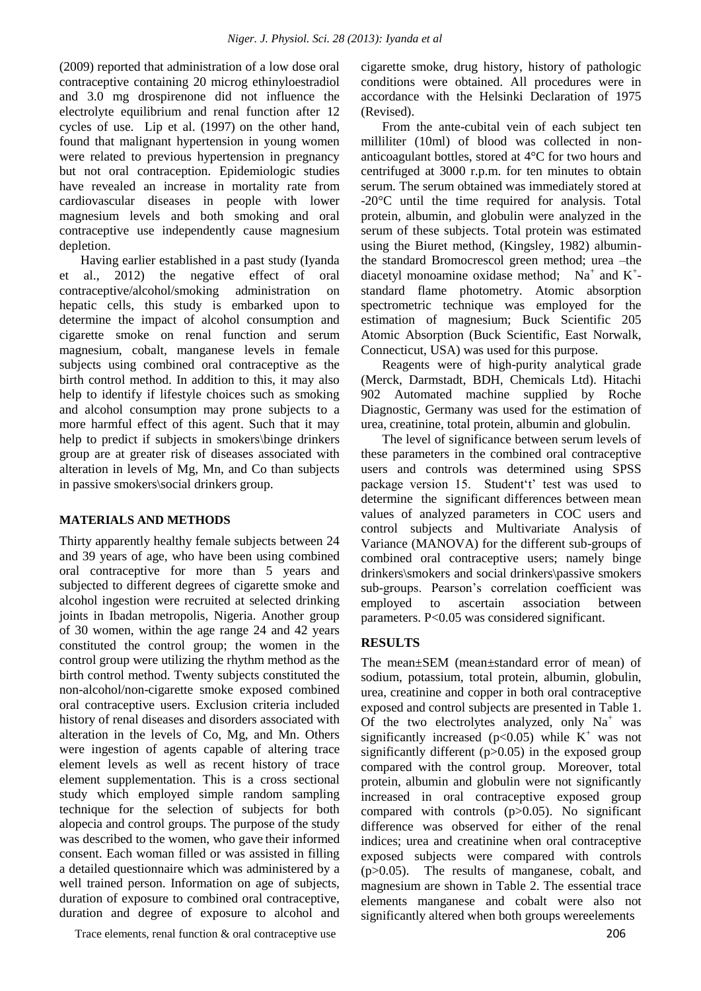(2009) reported that administration of a low dose oral contraceptive containing 20 microg ethinyloestradiol and 3.0 mg drospirenone did not influence the electrolyte equilibrium and renal function after 12 cycles of use. Lip et al. (1997) on the other hand, found that malignant hypertension in young women were related to previous hypertension in pregnancy but not oral contraception. Epidemiologic studies have revealed an increase in mortality rate from cardiovascular diseases in people with lower magnesium levels and both smoking and oral contraceptive use independently cause magnesium depletion.

Having earlier established in a past study (Iyanda et al., 2012) the negative effect of oral contraceptive/alcohol/smoking administration on hepatic cells, this study is embarked upon to determine the impact of alcohol consumption and cigarette smoke on renal function and serum magnesium, cobalt, manganese levels in female subjects using combined oral contraceptive as the birth control method. In addition to this, it may also help to identify if lifestyle choices such as smoking and alcohol consumption may prone subjects to a more harmful effect of this agent. Such that it may help to predict if subjects in smokers\binge drinkers group are at greater risk of diseases associated with alteration in levels of Mg, Mn, and Co than subjects in passive smokers\social drinkers group.

#### **MATERIALS AND METHODS**

Thirty apparently healthy female subjects between 24 and 39 years of age, who have been using combined oral contraceptive for more than 5 years and subjected to different degrees of cigarette smoke and alcohol ingestion were recruited at selected drinking joints in Ibadan metropolis, Nigeria. Another group of 30 women, within the age range 24 and 42 years constituted the control group; the women in the control group were utilizing the rhythm method as the birth control method. Twenty subjects constituted the non-alcohol/non-cigarette smoke exposed combined oral contraceptive users. Exclusion criteria included history of renal diseases and disorders associated with alteration in the levels of Co, Mg, and Mn. Others were ingestion of agents capable of altering trace element levels as well as recent history of trace element supplementation. This is a cross sectional study which employed simple random sampling technique for the selection of subjects for both alopecia and control groups. The purpose of the study was described to the women, who gave their informed consent. Each woman filled or was assisted in filling a detailed questionnaire which was administered by a well trained person. Information on age of subjects, duration of exposure to combined oral contraceptive, duration and degree of exposure to alcohol and

Trace elements, renal function & oral contraceptive use 206

cigarette smoke, drug history, history of pathologic conditions were obtained. All procedures were in accordance with the Helsinki Declaration of 1975 (Revised).

From the ante-cubital vein of each subject ten milliliter (10ml) of blood was collected in nonanticoagulant bottles, stored at 4°C for two hours and centrifuged at 3000 r.p.m. for ten minutes to obtain serum. The serum obtained was immediately stored at -20°C until the time required for analysis. Total protein, albumin, and globulin were analyzed in the serum of these subjects. Total protein was estimated using the Biuret method, (Kingsley, 1982) albuminthe standard Bromocrescol green method; urea –the diacetyl monoamine oxidase method; Na<sup>+</sup> and K<sup>+</sup>standard flame photometry. Atomic absorption spectrometric technique was employed for the estimation of magnesium; Buck Scientific 205 Atomic Absorption (Buck Scientific, East Norwalk, Connecticut, USA) was used for this purpose.

Reagents were of high-purity analytical grade (Merck, Darmstadt, BDH, Chemicals Ltd). Hitachi 902 Automated machine supplied by Roche Diagnostic, Germany was used for the estimation of urea, creatinine, total protein, albumin and globulin.

The level of significance between serum levels of these parameters in the combined oral contraceptive users and controls was determined using SPSS package version 15. Student't' test was used to determine the significant differences between mean values of analyzed parameters in COC users and control subjects and Multivariate Analysis of Variance (MANOVA) for the different sub-groups of combined oral contraceptive users; namely binge drinkers\smokers and social drinkers\passive smokers sub-groups. Pearson's correlation coefficient was employed to ascertain association between parameters. P<0.05 was considered significant.

## **RESULTS**

The mean±SEM (mean±standard error of mean) of sodium, potassium, total protein, albumin, globulin, urea, creatinine and copper in both oral contraceptive exposed and control subjects are presented in Table 1. Of the two electrolytes analyzed, only  $Na<sup>+</sup>$  was significantly increased ( $p<0.05$ ) while K<sup>+</sup> was not significantly different (p>0.05) in the exposed group compared with the control group. Moreover, total protein, albumin and globulin were not significantly increased in oral contraceptive exposed group compared with controls  $(p>0.05)$ . No significant difference was observed for either of the renal indices; urea and creatinine when oral contraceptive exposed subjects were compared with controls (p>0.05). The results of manganese, cobalt, and magnesium are shown in Table 2. The essential trace elements manganese and cobalt were also not significantly altered when both groups wereelements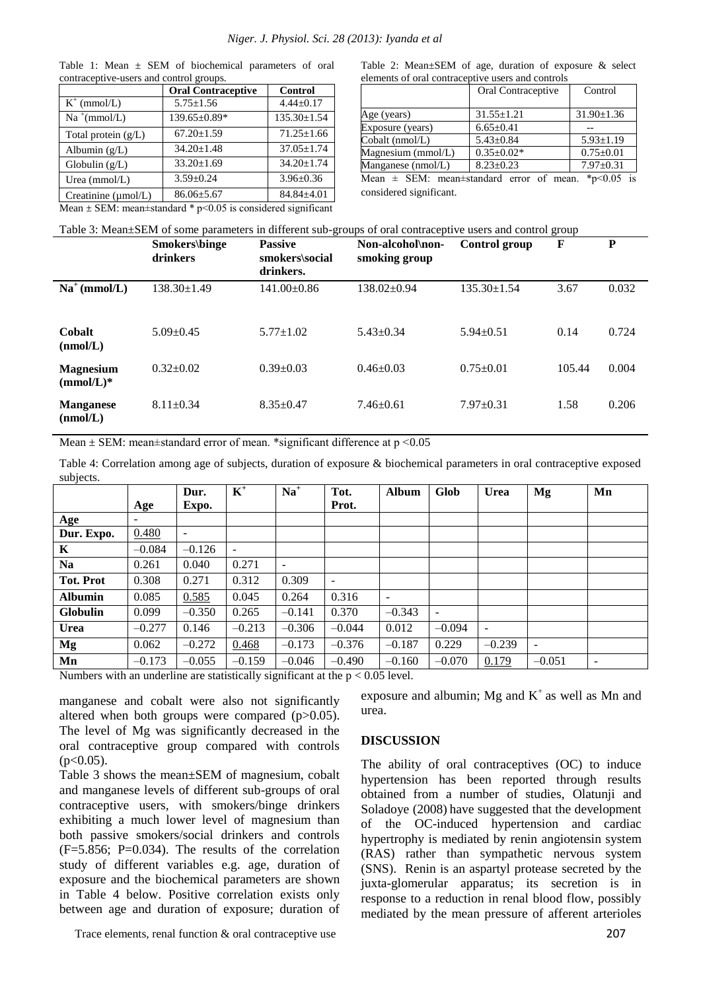|                                                                        | <b>Oral Contraceptive</b> | <b>Control</b>    |  |  |  |  |
|------------------------------------------------------------------------|---------------------------|-------------------|--|--|--|--|
| $K^+$ (mmol/L)                                                         | $5.75 \pm 1.56$           | $4.44 \pm 0.17$   |  |  |  |  |
| $Na^+(mmol/L)$                                                         | 139.65±0.89*              | $135.30 \pm 1.54$ |  |  |  |  |
| Total protein $(g/L)$                                                  | $67.20 \pm 1.59$          | $71.25 \pm 1.66$  |  |  |  |  |
| Albumin $(g/L)$                                                        | $34.20 \pm 1.48$          | $37.05 \pm 1.74$  |  |  |  |  |
| Globulin $(g/L)$                                                       | $33.20 \pm 1.69$          | $34.20 \pm 1.74$  |  |  |  |  |
| Urea $(mmol/L)$                                                        | $3.59 \pm 0.24$           | $3.96 \pm 0.36$   |  |  |  |  |
| Creatinine ( $\mu$ mol/L)                                              | $86.06 \pm 5.67$          | $84.84 \pm 4.01$  |  |  |  |  |
| Mean $\pm$ SEM: mean $\pm$ standard * p<0.05 is considered significant |                           |                   |  |  |  |  |

Table 1: Mean  $\pm$  SEM of biochemical parameters of oral contraceptive-users and control groups.

Table 2: Mean±SEM of age, duration of exposure & select elements of oral contraceptive users and controls

|                                                                                                                                                                                                     | Oral Contraceptive | Control          |  |  |  |  |  |
|-----------------------------------------------------------------------------------------------------------------------------------------------------------------------------------------------------|--------------------|------------------|--|--|--|--|--|
| Age (years)                                                                                                                                                                                         | $31.55 \pm 1.21$   | $31.90 \pm 1.36$ |  |  |  |  |  |
| Exposure (years)                                                                                                                                                                                    | $6.65 \pm 0.41$    |                  |  |  |  |  |  |
| Cobalt (nmol/L)                                                                                                                                                                                     | $5.43 \pm 0.84$    | $5.93 \pm 1.19$  |  |  |  |  |  |
| Magnesium (mmol/L)                                                                                                                                                                                  | $0.35 \pm 0.02*$   | $0.75 \pm 0.01$  |  |  |  |  |  |
| Manganese (nmol/L)                                                                                                                                                                                  | $8.23 \pm 0.23$    | $7.97 \pm 0.31$  |  |  |  |  |  |
| $M_{\text{max}}$ (CEM, many latendard among all many<br>$\frac{1}{2}$ $\frac{1}{2}$ $\frac{1}{2}$ $\frac{1}{2}$ $\frac{1}{2}$ $\frac{1}{2}$ $\frac{1}{2}$ $\frac{1}{2}$ $\frac{1}{2}$ $\frac{1}{2}$ |                    |                  |  |  |  |  |  |

Mean  $\pm$  SEM: mean $\pm$ standard error of mean. \*p<0.05 is considered significant.

| Table 3: Mean±SEM of some parameters in different sub-groups of oral contraceptive users and control group |  |  |
|------------------------------------------------------------------------------------------------------------|--|--|
|                                                                                                            |  |  |
|                                                                                                            |  |  |

|                                  | Smokers\binge<br>drinkers | <b>Passive</b><br>smokers\social<br>drinkers. | Non-alcohol\non-<br>smoking group | Control group     | $\mathbf F$ | P     |
|----------------------------------|---------------------------|-----------------------------------------------|-----------------------------------|-------------------|-------------|-------|
| $Na^+$ (mmol/L)                  | 138.30±1.49               | $141.00 \pm 0.86$                             | $138.02 \pm 0.94$                 | $135.30 \pm 1.54$ | 3.67        | 0.032 |
| Cobalt<br>(mmol/L)               | $5.09 + 0.45$             | $5.77 + 1.02$                                 | $5.43 \pm 0.34$                   | $5.94 \pm 0.51$   | 0.14        | 0.724 |
| <b>Magnesium</b><br>$(mmol/L)^*$ | $0.32 \pm 0.02$           | $0.39 + 0.03$                                 | $0.46 \pm 0.03$                   | $0.75 \pm 0.01$   | 105.44      | 0.004 |
| <b>Manganese</b><br>(nmol/L)     | $8.11 \pm 0.34$           | $8.35 \pm 0.47$                               | $7.46 \pm 0.61$                   | $7.97 \pm 0.31$   | 1.58        | 0.206 |

Mean  $\pm$  SEM: mean $\pm$ standard error of mean. \*significant difference at p <0.05

Table 4: Correlation among age of subjects, duration of exposure & biochemical parameters in oral contraceptive exposed subjects.

| . <sub>. .</sub> |          |                          |                |          |                          |              |                          |                          |          |    |
|------------------|----------|--------------------------|----------------|----------|--------------------------|--------------|--------------------------|--------------------------|----------|----|
|                  |          | Dur.                     | $\mathbf{K}^+$ | $Na+$    | Tot.                     | <b>Album</b> | <b>Glob</b>              | <b>Urea</b>              | Mg       | Mn |
|                  | Age      | Expo.                    |                |          | Prot.                    |              |                          |                          |          |    |
| Age              | ۰.       |                          |                |          |                          |              |                          |                          |          |    |
| Dur. Expo.       | 0.480    | $\overline{\phantom{a}}$ |                |          |                          |              |                          |                          |          |    |
| K                | $-0.084$ | $-0.126$                 |                |          |                          |              |                          |                          |          |    |
| <b>Na</b>        | 0.261    | 0.040                    | 0.271          | Ξ.       |                          |              |                          |                          |          |    |
| <b>Tot. Prot</b> | 0.308    | 0.271                    | 0.312          | 0.309    | $\overline{\phantom{0}}$ |              |                          |                          |          |    |
| <b>Albumin</b>   | 0.085    | 0.585                    | 0.045          | 0.264    | 0.316                    | -            |                          |                          |          |    |
| <b>Globulin</b>  | 0.099    | $-0.350$                 | 0.265          | $-0.141$ | 0.370                    | $-0.343$     | $\overline{\phantom{a}}$ |                          |          |    |
| <b>Urea</b>      | $-0.277$ | 0.146                    | $-0.213$       | $-0.306$ | $-0.044$                 | 0.012        | $-0.094$                 | $\overline{\phantom{a}}$ |          |    |
| Mg               | 0.062    | $-0.272$                 | 0.468          | $-0.173$ | $-0.376$                 | $-0.187$     | 0.229                    | $-0.239$                 | -        |    |
| Mn               | $-0.173$ | $-0.055$                 | $-0.159$       | $-0.046$ | $-0.490$                 | $-0.160$     | $-0.070$                 | 0.179                    | $-0.051$ |    |

Numbers with an underline are statistically significant at the  $p < 0.05$  level.

manganese and cobalt were also not significantly altered when both groups were compared  $(p>0.05)$ . The level of Mg was significantly decreased in the oral contraceptive group compared with controls  $(p<0.05)$ .

Table 3 shows the mean±SEM of magnesium, cobalt and manganese levels of different sub-groups of oral contraceptive users, with smokers/binge drinkers exhibiting a much lower level of magnesium than both passive smokers/social drinkers and controls  $(F=5.856; P=0.034)$ . The results of the correlation study of different variables e.g. age, duration of exposure and the biochemical parameters are shown in Table 4 below. Positive correlation exists only between age and duration of exposure; duration of exposure and albumin; Mg and  $K^+$  as well as Mn and urea.

### **DISCUSSION**

The ability of oral contraceptives (OC) to induce hypertension has been reported through results obtained from a number of studies, Olatunji and Soladoye (2008) have suggested that the development of the OC-induced hypertension and cardiac hypertrophy is mediated by renin angiotensin system (RAS) rather than sympathetic nervous system (SNS). Renin is an aspartyl protease secreted by the juxta-glomerular apparatus; its secretion is in response to a reduction in renal blood flow, possibly mediated by the mean pressure of afferent arterioles

Trace elements, renal function & oral contraceptive use 207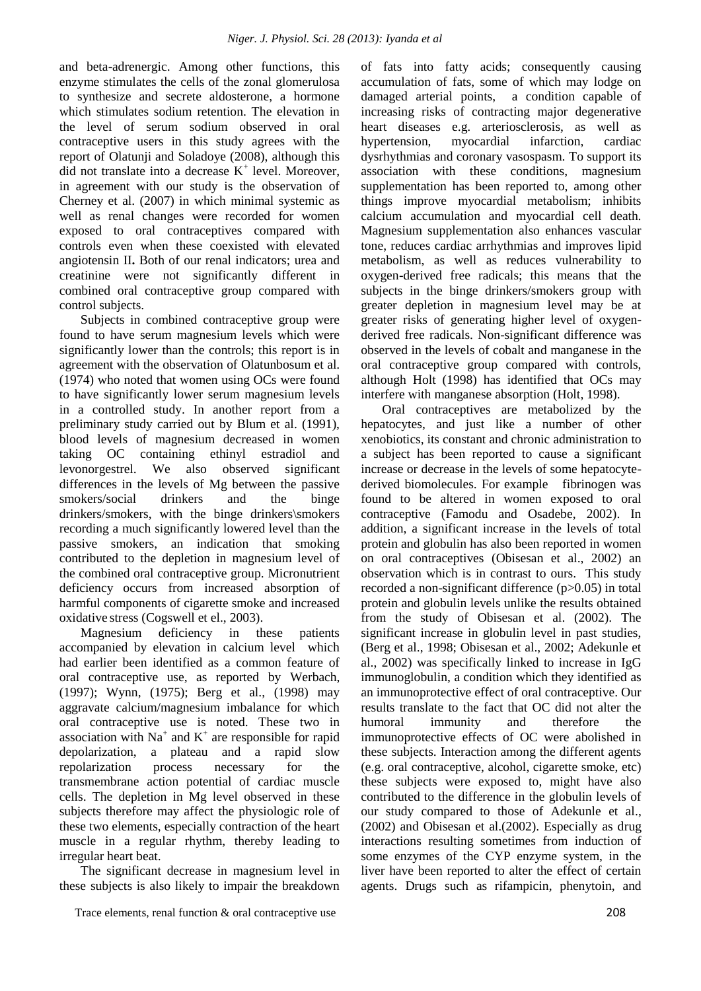and beta-adrenergic. Among other functions, this enzyme stimulates the cells of the zonal glomerulosa to synthesize and secrete aldosterone, a hormone which stimulates sodium retention. The elevation in the level of serum sodium observed in oral contraceptive users in this study agrees with the report of Olatunji and Soladoye (2008), although this did not translate into a decrease  $K^+$  level. Moreover, in agreement with our study is the observation of Cherney et al. (2007) in which minimal systemic as well as renal changes were recorded for women exposed to oral contraceptives compared with controls even when these coexisted with elevated angiotensin II**.** Both of our renal indicators; urea and creatinine were not significantly different in combined oral contraceptive group compared with control subjects.

Subjects in combined contraceptive group were found to have serum magnesium levels which were significantly lower than the controls; this report is in agreement with the observation of Olatunbosum et al. (1974) who noted that women using OCs were found to have significantly lower serum magnesium levels in a controlled study. In another report from a preliminary study carried out by Blum et al. (1991), blood levels of magnesium decreased in women taking OC containing ethinyl estradiol and levonorgestrel. We also observed significant differences in the levels of Mg between the passive smokers/social drinkers and the binge drinkers/smokers, with the binge drinkers\smokers recording a much significantly lowered level than the passive smokers, an indication that smoking contributed to the depletion in magnesium level of the combined oral contraceptive group. Micronutrient deficiency occurs from increased absorption of harmful components of cigarette smoke and increased oxidative stress (Cogswell et el., 2003).

Magnesium deficiency in these patients accompanied by elevation in calcium level which had earlier been identified as a common feature of oral contraceptive use, as reported by Werbach, (1997); Wynn, (1975); Berg et al., (1998) may aggravate calcium/magnesium imbalance for which oral contraceptive use is noted. These two in association with  $Na^+$  and  $K^+$  are responsible for rapid depolarization, a plateau and a rapid slow repolarization process necessary for the transmembrane action potential of cardiac muscle cells. The depletion in Mg level observed in these subjects therefore may affect the physiologic role of these two elements, especially contraction of the heart muscle in a regular rhythm, thereby leading to irregular heart beat.

The significant decrease in magnesium level in these subjects is also likely to impair the breakdown of fats into fatty acids; consequently causing accumulation of fats, some of which may lodge on damaged arterial points, a condition capable of increasing risks of contracting major degenerative heart diseases e.g. arteriosclerosis, as well as hypertension, myocardial infarction, cardiac dysrhythmias and coronary vasospasm. To support its association with these conditions, magnesium supplementation has been reported to, among other things improve myocardial metabolism; inhibits calcium accumulation and myocardial cell death. Magnesium supplementation also enhances vascular tone, reduces cardiac arrhythmias and improves lipid metabolism, as well as reduces vulnerability to oxygen-derived free radicals; this means that the subjects in the binge drinkers/smokers group with greater depletion in magnesium level may be at greater risks of generating higher level of oxygenderived free radicals. Non-significant difference was observed in the levels of cobalt and manganese in the oral contraceptive group compared with controls, although Holt (1998) has identified that OCs may interfere with [manganese](http://www.peacehealth.org/kbase/cam/hn-2881000.htm) absorption (Holt, 1998).

Oral contraceptives are metabolized by the hepatocytes, and just like a number of other xenobiotics, its constant and chronic administration to a subject has been reported to cause a significant increase or decrease in the levels of some hepatocytederived biomolecules. For example fibrinogen was found to be altered in women exposed to oral contraceptive (Famodu and Osadebe, 2002). In addition, a significant increase in the levels of total protein and globulin has also been reported in women on oral contraceptives (Obisesan et al., 2002) an observation which is in contrast to ours. This study recorded a non-significant difference (p>0.05) in total protein and globulin levels unlike the results obtained from the study of Obisesan et al. (2002). The significant increase in globulin level in past studies, (Berg et al., 1998; Obisesan et al., 2002; Adekunle et al., 2002) was specifically linked to increase in IgG immunoglobulin, a condition which they identified as an immunoprotective effect of oral contraceptive. Our results translate to the fact that OC did not alter the humoral immunity and therefore the immunoprotective effects of OC were abolished in these subjects. Interaction among the different agents (e.g. oral contraceptive, alcohol, cigarette smoke, etc) these subjects were exposed to, might have also contributed to the difference in the globulin levels of our study compared to those of Adekunle et al., (2002) and Obisesan et al.(2002). Especially as drug interactions resulting sometimes from induction of some enzymes of the CYP enzyme system, in the liver have been reported to alter the effect of certain agents. Drugs such as rifampicin, phenytoin, and

Trace elements, renal function & oral contraceptive use 208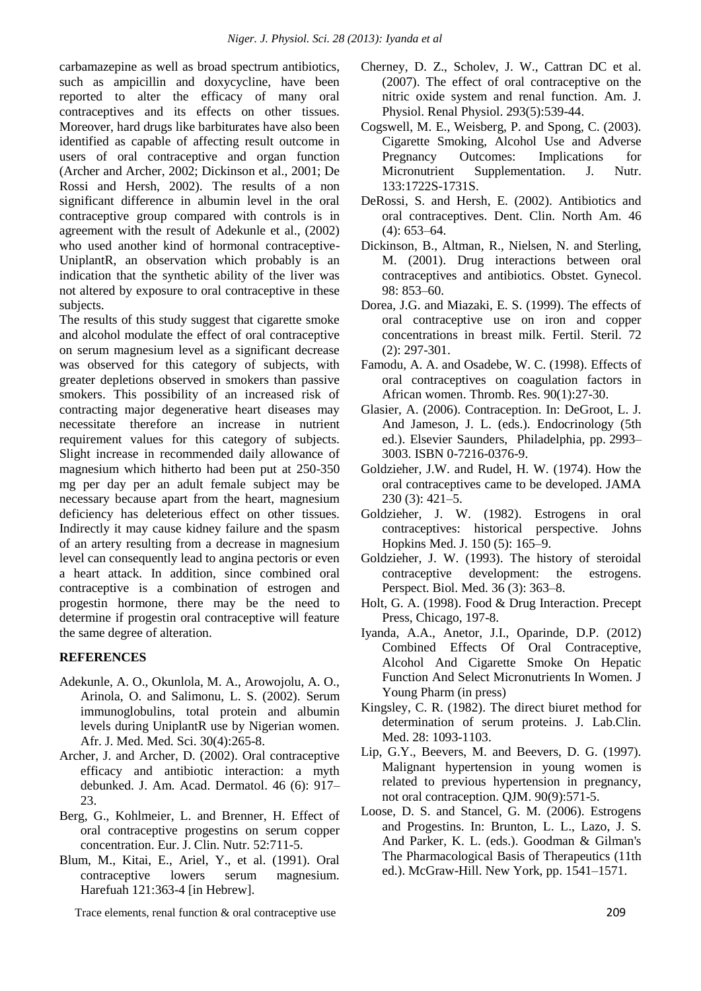carbamazepine as well as broad spectrum antibiotics, such as ampicillin and doxycycline, have been reported to alter the efficacy of many oral contraceptives and its effects on other tissues. Moreover, hard drugs like barbiturates have also been identified as capable of affecting result outcome in users of oral contraceptive and organ function (Archer and Archer, 2002; Dickinson et al., 2001; De Rossi and Hersh, 2002). The results of a non significant difference in albumin level in the oral contraceptive group compared with controls is in agreement with the result of Adekunle et al., (2002) who used another kind of hormonal contraceptive-UniplantR, an observation which probably is an indication that the synthetic ability of the liver was not altered by exposure to oral contraceptive in these subjects.

The results of this study suggest that cigarette smoke and alcohol modulate the effect of oral contraceptive on serum magnesium level as a significant decrease was observed for this category of subjects, with greater depletions observed in smokers than passive smokers. This possibility of an increased risk of contracting major degenerative heart diseases may necessitate therefore an increase in nutrient requirement values for this category of subjects. Slight increase in recommended daily allowance of magnesium which hitherto had been put at 250-350 mg per day per an adult female subject may be necessary because apart from the heart, magnesium deficiency has deleterious effect on other tissues. Indirectly it may cause kidney failure and the spasm of an artery resulting from a decrease in magnesium level can consequently lead to angina pectoris or even a heart attack. In addition, since combined oral contraceptive is a combination of estrogen and progestin hormone, there may be the need to determine if progestin oral contraceptive will feature the same degree of alteration.

## **REFERENCES**

- Adekunle, A. O., Okunlola, M. A., Arowojolu, A. O., Arinola, O. and Salimonu, L. S. (2002). Serum immunoglobulins, total protein and albumin levels during UniplantR use by Nigerian women. Afr. J. Med. Med. Sci. 30(4):265-8.
- Archer, J. and Archer, D. (2002). Oral contraceptive efficacy and antibiotic interaction: a myth debunked. J. Am. Acad. Dermatol. 46 (6): 917– 23.
- Berg, G., Kohlmeier, L. and Brenner, H. Effect of oral contraceptive progestins on serum copper concentration. Eur. J. Clin. Nutr. 52:711-5.
- Blum, M., Kitai, E., Ariel, Y., et al. (1991). Oral contraceptive lowers serum magnesium. Harefuah 121:363-4 [in Hebrew].

Trace elements, renal function & oral contraceptive use 209

- Cherney, D. Z., Scholev, J. W., Cattran DC et al. (2007). The effect of oral contraceptive on the nitric oxide system and renal function. Am. J. Physiol. Renal Physiol. 293(5):539-44.
- Cogswell, M. E., Weisberg, P. and Spong, C. (2003). Cigarette Smoking, Alcohol Use and Adverse Pregnancy Outcomes: Implications for Micronutrient Supplementation. J. Nutr. 133:1722S-1731S.
- DeRossi, S. and Hersh, E. (2002). Antibiotics and oral contraceptives. Dent. Clin. North Am. 46 (4): 653–64.
- Dickinson, B., Altman, R., Nielsen, N. and Sterling, M. (2001). Drug interactions between oral contraceptives and antibiotics. Obstet. Gynecol. 98: 853–60.
- Dorea, J.G. and Miazaki, E. S. (1999). The effects of oral contraceptive use on iron and copper concentrations in breast milk. Fertil. Steril. 72 (2): 297-301.
- Famodu, A. A. and Osadebe, W. C. (1998). Effects of oral contraceptives on coagulation factors in African women. Thromb. Res. 90(1):27-30.
- Glasier, A. (2006). Contraception. In: DeGroot, L. J. And Jameson, J. L. (eds.). Endocrinology (5th ed.). Elsevier Saunders, Philadelphia, pp. 2993– 3003. ISBN 0-7216-0376-9.
- Goldzieher, J.W. and Rudel, H. W. (1974). How the oral contraceptives came to be developed. JAMA 230 (3): 421–5.
- Goldzieher, J. W. (1982). Estrogens in oral contraceptives: historical perspective. Johns Hopkins Med. J. 150 (5): 165–9.
- Goldzieher, J. W. (1993). The history of steroidal contraceptive development: the estrogens. Perspect. Biol. Med. 36 (3): 363–8.
- Holt, G. A. (1998). Food & Drug Interaction. Precept Press, Chicago, 197-8.
- Iyanda, A.A., Anetor, J.I., Oparinde, D.P. (2012) Combined Effects Of Oral Contraceptive, Alcohol And Cigarette Smoke On Hepatic Function And Select Micronutrients In Women. J Young Pharm (in press)
- Kingsley, C. R. (1982). The direct biuret method for determination of serum proteins. J. Lab.Clin. Med. 28: 1093-1103.
- Lip, G.Y., Beevers, M. and Beevers, D. G. (1997). Malignant hypertension in young women is related to previous hypertension in pregnancy, not oral contraception. QJM. 90(9):571-5.
- Loose, D. S. and Stancel, G. M. (2006). Estrogens and Progestins. In: Brunton, L. L., Lazo, J. S. And Parker, K. L. (eds.). Goodman & Gilman's The Pharmacological Basis of Therapeutics (11th ed.). McGraw-Hill. New York, pp. 1541–1571.